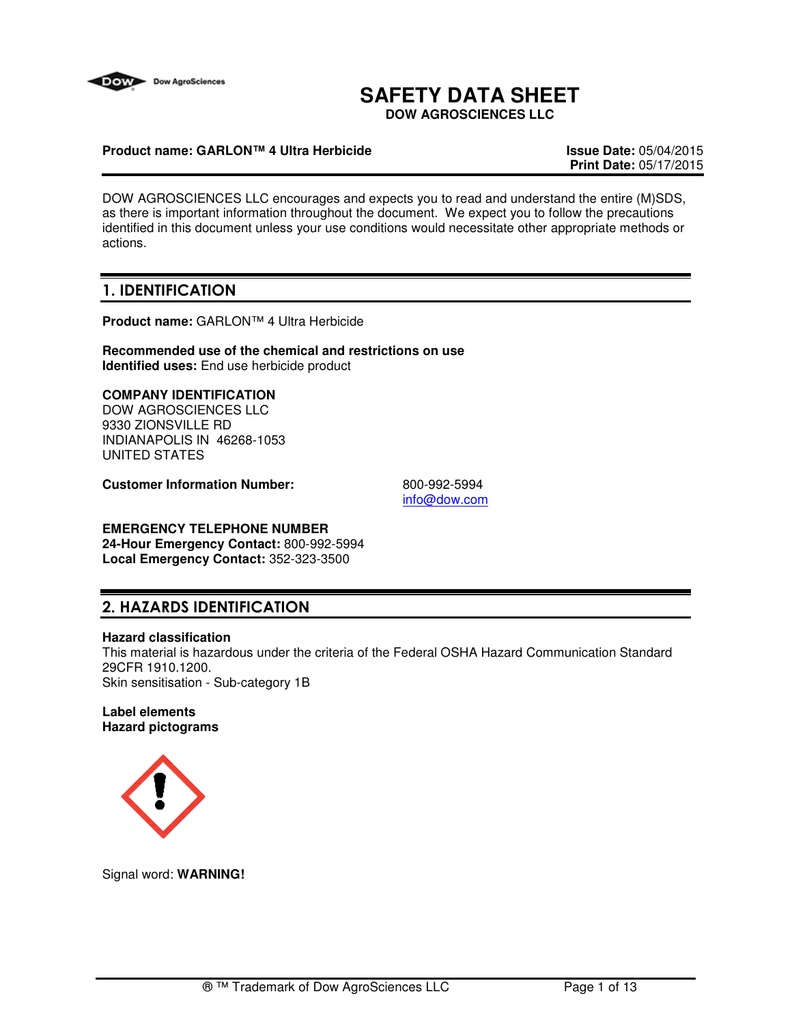

# **SAFETY DATA SHEET**

**DOW AGROSCIENCES LLC**

### **Product name: GARLON™ 4 Ultra Herbicide Issue Date:** 05/04/2015

**Print Date:** 05/17/2015

DOW AGROSCIENCES LLC encourages and expects you to read and understand the entire (M)SDS, as there is important information throughout the document. We expect you to follow the precautions identified in this document unless your use conditions would necessitate other appropriate methods or actions.

## 1. IDENTIFICATION

**Product name:** GARLON™ 4 Ultra Herbicide

**Recommended use of the chemical and restrictions on use Identified uses:** End use herbicide product

### **COMPANY IDENTIFICATION**

DOW AGROSCIENCES LLC 9330 ZIONSVILLE RD INDIANAPOLIS IN 46268-1053 UNITED STATES

**Customer Information Number:** 800-992-5994

info@dow.com

## **EMERGENCY TELEPHONE NUMBER**

**24-Hour Emergency Contact:** 800-992-5994 **Local Emergency Contact:** 352-323-3500

## 2. HAZARDS IDENTIFICATION

#### **Hazard classification**

This material is hazardous under the criteria of the Federal OSHA Hazard Communication Standard 29CFR 1910.1200. Skin sensitisation - Sub-category 1B

#### **Label elements Hazard pictograms**



Signal word: **WARNING!**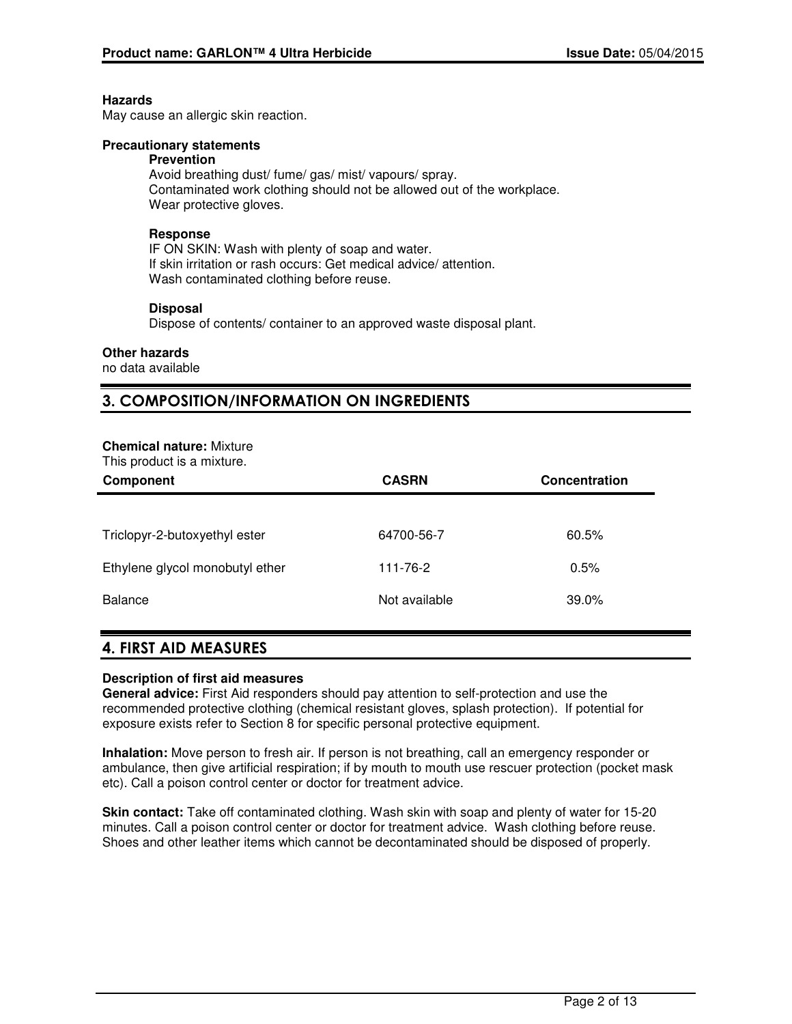#### **Hazards**

May cause an allergic skin reaction.

#### **Precautionary statements**

#### **Prevention**

Avoid breathing dust/ fume/ gas/ mist/ vapours/ spray. Contaminated work clothing should not be allowed out of the workplace. Wear protective gloves.

### **Response**

IF ON SKIN: Wash with plenty of soap and water. If skin irritation or rash occurs: Get medical advice/ attention. Wash contaminated clothing before reuse.

#### **Disposal**

Dispose of contents/ container to an approved waste disposal plant.

#### **Other hazards**

no data available

## 3. COMPOSITION/INFORMATION ON INGREDIENTS

#### **Chemical nature:** Mixture

This product is a mixture.

| Component                       | <b>CASRN</b>  | Concentration |
|---------------------------------|---------------|---------------|
|                                 |               |               |
| Triclopyr-2-butoxyethyl ester   | 64700-56-7    | 60.5%         |
| Ethylene glycol monobutyl ether | 111-76-2      | 0.5%          |
| Balance                         | Not available | 39.0%         |

### 4. FIRST AID MEASURES

#### **Description of first aid measures**

**General advice:** First Aid responders should pay attention to self-protection and use the recommended protective clothing (chemical resistant gloves, splash protection). If potential for exposure exists refer to Section 8 for specific personal protective equipment.

**Inhalation:** Move person to fresh air. If person is not breathing, call an emergency responder or ambulance, then give artificial respiration; if by mouth to mouth use rescuer protection (pocket mask etc). Call a poison control center or doctor for treatment advice.

**Skin contact:** Take off contaminated clothing. Wash skin with soap and plenty of water for 15-20 minutes. Call a poison control center or doctor for treatment advice. Wash clothing before reuse. Shoes and other leather items which cannot be decontaminated should be disposed of properly.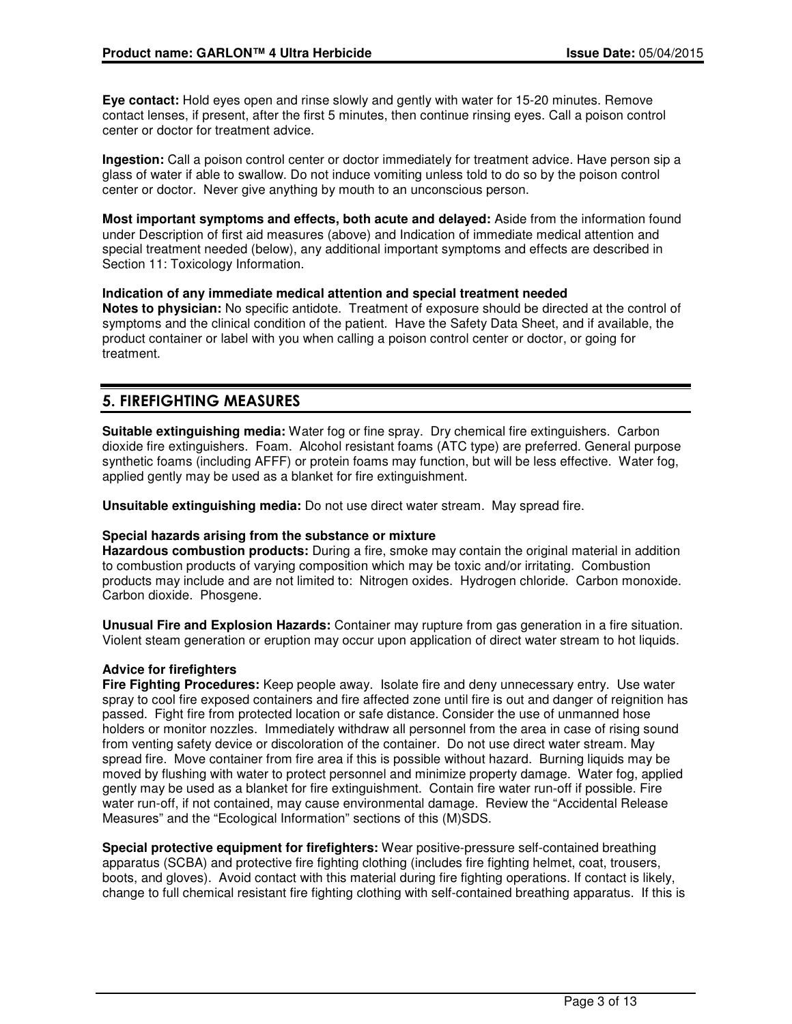**Eye contact:** Hold eyes open and rinse slowly and gently with water for 15-20 minutes. Remove contact lenses, if present, after the first 5 minutes, then continue rinsing eyes. Call a poison control center or doctor for treatment advice.

**Ingestion:** Call a poison control center or doctor immediately for treatment advice. Have person sip a glass of water if able to swallow. Do not induce vomiting unless told to do so by the poison control center or doctor. Never give anything by mouth to an unconscious person.

**Most important symptoms and effects, both acute and delayed:** Aside from the information found under Description of first aid measures (above) and Indication of immediate medical attention and special treatment needed (below), any additional important symptoms and effects are described in Section 11: Toxicology Information.

### **Indication of any immediate medical attention and special treatment needed**

**Notes to physician:** No specific antidote. Treatment of exposure should be directed at the control of symptoms and the clinical condition of the patient. Have the Safety Data Sheet, and if available, the product container or label with you when calling a poison control center or doctor, or going for treatment.

## 5. FIREFIGHTING MEASURES

**Suitable extinguishing media:** Water fog or fine spray. Dry chemical fire extinguishers. Carbon dioxide fire extinguishers. Foam. Alcohol resistant foams (ATC type) are preferred. General purpose synthetic foams (including AFFF) or protein foams may function, but will be less effective. Water fog, applied gently may be used as a blanket for fire extinguishment.

**Unsuitable extinguishing media:** Do not use direct water stream. May spread fire.

#### **Special hazards arising from the substance or mixture**

**Hazardous combustion products:** During a fire, smoke may contain the original material in addition to combustion products of varying composition which may be toxic and/or irritating. Combustion products may include and are not limited to: Nitrogen oxides. Hydrogen chloride. Carbon monoxide. Carbon dioxide. Phosgene.

**Unusual Fire and Explosion Hazards:** Container may rupture from gas generation in a fire situation. Violent steam generation or eruption may occur upon application of direct water stream to hot liquids.

#### **Advice for firefighters**

**Fire Fighting Procedures:** Keep people away. Isolate fire and deny unnecessary entry. Use water spray to cool fire exposed containers and fire affected zone until fire is out and danger of reignition has passed. Fight fire from protected location or safe distance. Consider the use of unmanned hose holders or monitor nozzles. Immediately withdraw all personnel from the area in case of rising sound from venting safety device or discoloration of the container. Do not use direct water stream. May spread fire. Move container from fire area if this is possible without hazard. Burning liquids may be moved by flushing with water to protect personnel and minimize property damage. Water fog, applied gently may be used as a blanket for fire extinguishment. Contain fire water run-off if possible. Fire water run-off, if not contained, may cause environmental damage. Review the "Accidental Release Measures" and the "Ecological Information" sections of this (M)SDS.

**Special protective equipment for firefighters:** Wear positive-pressure self-contained breathing apparatus (SCBA) and protective fire fighting clothing (includes fire fighting helmet, coat, trousers, boots, and gloves). Avoid contact with this material during fire fighting operations. If contact is likely, change to full chemical resistant fire fighting clothing with self-contained breathing apparatus. If this is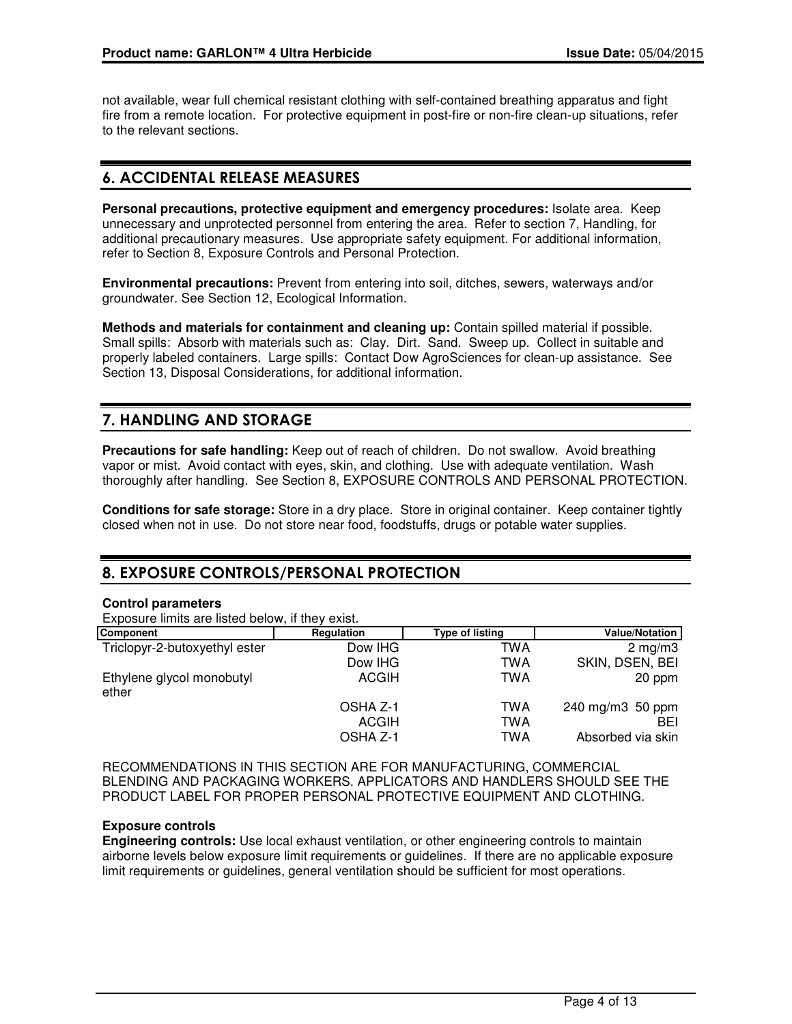not available, wear full chemical resistant clothing with self-contained breathing apparatus and fight fire from a remote location. For protective equipment in post-fire or non-fire clean-up situations, refer to the relevant sections.

## 6. ACCIDENTAL RELEASE MEASURES

**Personal precautions, protective equipment and emergency procedures:** Isolate area. Keep unnecessary and unprotected personnel from entering the area. Refer to section 7, Handling, for additional precautionary measures. Use appropriate safety equipment. For additional information, refer to Section 8, Exposure Controls and Personal Protection.

**Environmental precautions:** Prevent from entering into soil, ditches, sewers, waterways and/or groundwater. See Section 12, Ecological Information.

**Methods and materials for containment and cleaning up:** Contain spilled material if possible. Small spills: Absorb with materials such as: Clay. Dirt. Sand. Sweep up. Collect in suitable and properly labeled containers. Large spills: Contact Dow AgroSciences for clean-up assistance. See Section 13, Disposal Considerations, for additional information.

## 7. HANDLING AND STORAGE

**Precautions for safe handling:** Keep out of reach of children. Do not swallow. Avoid breathing vapor or mist. Avoid contact with eyes, skin, and clothing. Use with adequate ventilation. Wash thoroughly after handling. See Section 8, EXPOSURE CONTROLS AND PERSONAL PROTECTION.

**Conditions for safe storage:** Store in a dry place. Store in original container. Keep container tightly closed when not in use. Do not store near food, foodstuffs, drugs or potable water supplies.

## 8. EXPOSURE CONTROLS/PERSONAL PROTECTION

### **Control parameters**

Exposure limits are listed below, if they exist.

| Component                          | Regulation | <b>Type of listing</b> | <b>Value/Notation</b> |
|------------------------------------|------------|------------------------|-----------------------|
| Triclopyr-2-butoxyethyl ester      | Dow IHG    | TWA                    | $2 \text{ mg/m}$ 3    |
|                                    | Dow IHG    | TWA                    | SKIN, DSEN, BEI       |
| Ethylene glycol monobutyl<br>ether | ACGIH      | TWA                    | 20 ppm                |
|                                    | OSHA Z-1   | TWA                    | 240 mg/m3 50 ppm      |
|                                    | ACGIH      | TWA                    | <b>BEI</b>            |
|                                    | OSHA Z-1   | TWA                    | Absorbed via skin     |

RECOMMENDATIONS IN THIS SECTION ARE FOR MANUFACTURING, COMMERCIAL BLENDING AND PACKAGING WORKERS. APPLICATORS AND HANDLERS SHOULD SEE THE PRODUCT LABEL FOR PROPER PERSONAL PROTECTIVE EQUIPMENT AND CLOTHING.

### **Exposure controls**

**Engineering controls:** Use local exhaust ventilation, or other engineering controls to maintain airborne levels below exposure limit requirements or guidelines. If there are no applicable exposure limit requirements or guidelines, general ventilation should be sufficient for most operations.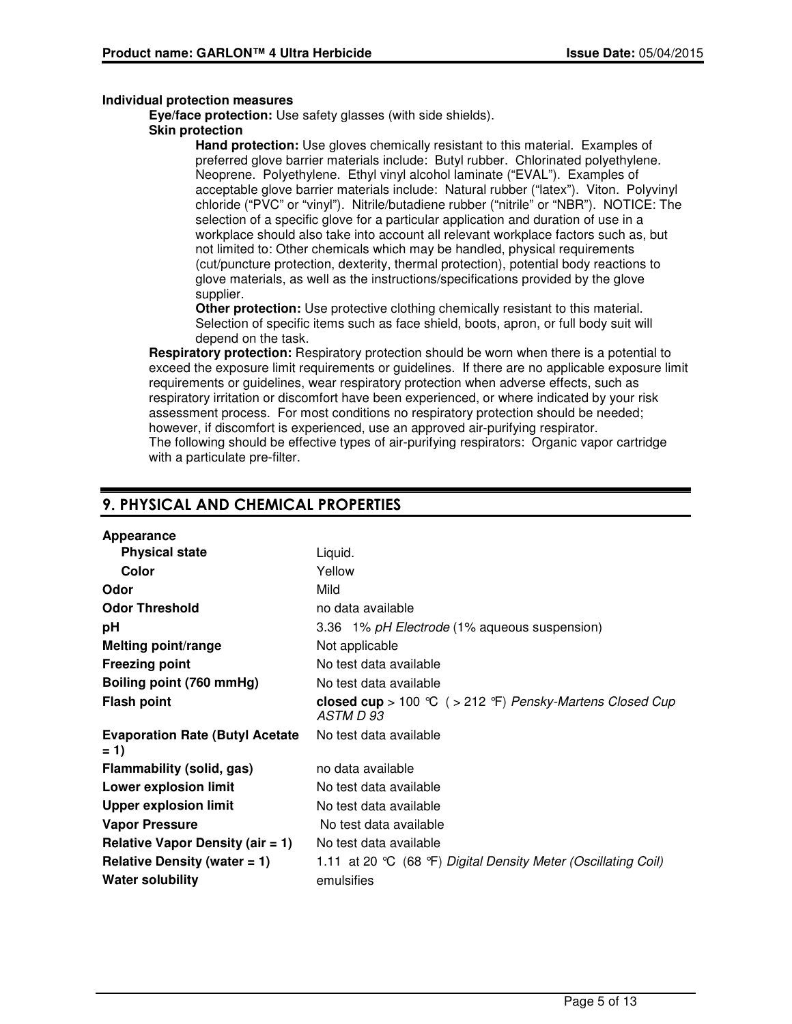#### **Individual protection measures**

**Eye/face protection:** Use safety glasses (with side shields).

#### **Skin protection**

**Hand protection:** Use gloves chemically resistant to this material. Examples of preferred glove barrier materials include: Butyl rubber. Chlorinated polyethylene. Neoprene. Polyethylene. Ethyl vinyl alcohol laminate ("EVAL"). Examples of acceptable glove barrier materials include: Natural rubber ("latex"). Viton. Polyvinyl chloride ("PVC" or "vinyl"). Nitrile/butadiene rubber ("nitrile" or "NBR"). NOTICE: The selection of a specific glove for a particular application and duration of use in a workplace should also take into account all relevant workplace factors such as, but not limited to: Other chemicals which may be handled, physical requirements (cut/puncture protection, dexterity, thermal protection), potential body reactions to glove materials, as well as the instructions/specifications provided by the glove supplier.

**Other protection:** Use protective clothing chemically resistant to this material. Selection of specific items such as face shield, boots, apron, or full body suit will depend on the task.

**Respiratory protection:** Respiratory protection should be worn when there is a potential to exceed the exposure limit requirements or guidelines. If there are no applicable exposure limit requirements or guidelines, wear respiratory protection when adverse effects, such as respiratory irritation or discomfort have been experienced, or where indicated by your risk assessment process. For most conditions no respiratory protection should be needed; however, if discomfort is experienced, use an approved air-purifying respirator. The following should be effective types of air-purifying respirators: Organic vapor cartridge with a particulate pre-filter.

## 9. PHYSICAL AND CHEMICAL PROPERTIES

| Appearance                                       |                                                                        |
|--------------------------------------------------|------------------------------------------------------------------------|
| <b>Physical state</b>                            | Liquid.                                                                |
| Color                                            | Yellow                                                                 |
| Odor                                             | Mild                                                                   |
| <b>Odor Threshold</b>                            | no data available                                                      |
| рH                                               | 3.36 1% pH Electrode (1% aqueous suspension)                           |
| <b>Melting point/range</b>                       | Not applicable                                                         |
| <b>Freezing point</b>                            | No test data available                                                 |
| Boiling point (760 mmHg)                         | No test data available                                                 |
| <b>Flash point</b>                               | closed cup > 100 °C ( > 212 °F) Pensky-Martens Closed Cup<br>ASTM D 93 |
| <b>Evaporation Rate (Butyl Acetate)</b><br>$= 1$ | No test data available                                                 |
| Flammability (solid, gas)                        | no data available                                                      |
| <b>Lower explosion limit</b>                     | No test data available                                                 |
| <b>Upper explosion limit</b>                     | No test data available                                                 |
| <b>Vapor Pressure</b>                            | No test data available                                                 |
| Relative Vapor Density (air $= 1$ )              | No test data available                                                 |
| Relative Density (water $= 1$ )                  | 1.11 at 20 °C (68 °F) Digital Density Meter (Oscillating Coil)         |
| <b>Water solubility</b>                          | emulsifies                                                             |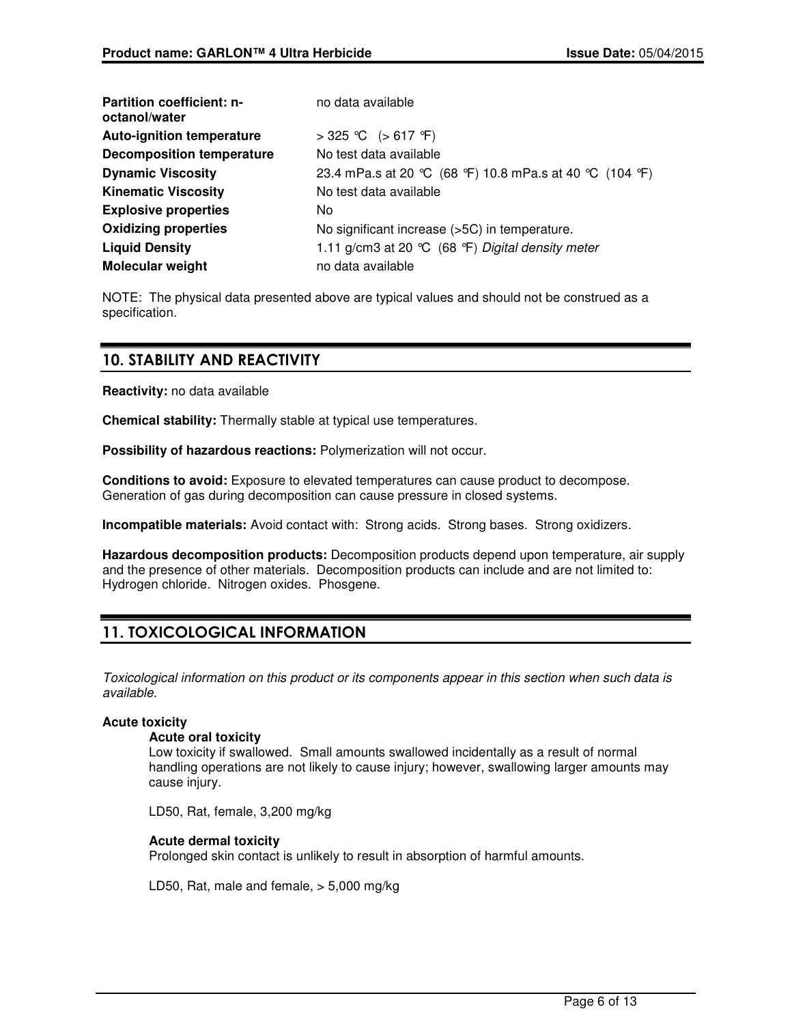| <b>Partition coefficient: n-</b><br>octanol/water | no data available                                      |
|---------------------------------------------------|--------------------------------------------------------|
| <b>Auto-ignition temperature</b>                  | > 325 ℃ (> 617 °F)                                     |
| <b>Decomposition temperature</b>                  | No test data available                                 |
| <b>Dynamic Viscosity</b>                          | 23.4 mPa.s at 20 ℃ (68 °F) 10.8 mPa.s at 40 ℃ (104 °F) |
| <b>Kinematic Viscosity</b>                        | No test data available                                 |
| <b>Explosive properties</b>                       | No.                                                    |
| <b>Oxidizing properties</b>                       | No significant increase (>5C) in temperature.          |
| <b>Liquid Density</b>                             | 1.11 g/cm3 at 20 ℃ (68 °F) Digital density meter       |
| <b>Molecular weight</b>                           | no data available                                      |

NOTE: The physical data presented above are typical values and should not be construed as a specification.

## 10. STABILITY AND REACTIVITY

**Reactivity:** no data available

**Chemical stability:** Thermally stable at typical use temperatures.

**Possibility of hazardous reactions:** Polymerization will not occur.

**Conditions to avoid:** Exposure to elevated temperatures can cause product to decompose. Generation of gas during decomposition can cause pressure in closed systems.

**Incompatible materials:** Avoid contact with: Strong acids. Strong bases. Strong oxidizers.

**Hazardous decomposition products:** Decomposition products depend upon temperature, air supply and the presence of other materials. Decomposition products can include and are not limited to: Hydrogen chloride. Nitrogen oxides. Phosgene.

## 11. TOXICOLOGICAL INFORMATION

Toxicological information on this product or its components appear in this section when such data is available.

### **Acute toxicity**

#### **Acute oral toxicity**

Low toxicity if swallowed. Small amounts swallowed incidentally as a result of normal handling operations are not likely to cause injury; however, swallowing larger amounts may cause injury.

LD50, Rat, female, 3,200 mg/kg

### **Acute dermal toxicity**

Prolonged skin contact is unlikely to result in absorption of harmful amounts.

LD50, Rat, male and female, > 5,000 mg/kg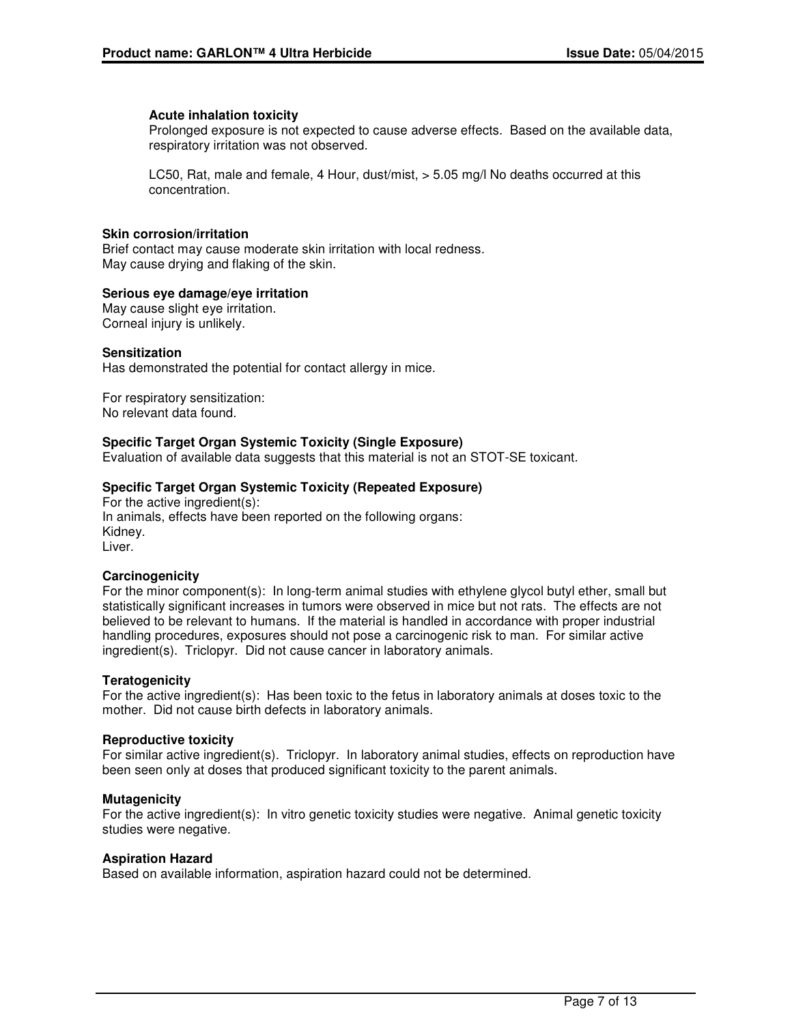#### **Acute inhalation toxicity**

Prolonged exposure is not expected to cause adverse effects. Based on the available data, respiratory irritation was not observed.

LC50, Rat, male and female, 4 Hour, dust/mist, > 5.05 mg/l No deaths occurred at this concentration.

### **Skin corrosion/irritation**

Brief contact may cause moderate skin irritation with local redness. May cause drying and flaking of the skin.

#### **Serious eye damage/eye irritation**

May cause slight eye irritation. Corneal injury is unlikely.

#### **Sensitization**

Has demonstrated the potential for contact allergy in mice.

For respiratory sensitization: No relevant data found.

#### **Specific Target Organ Systemic Toxicity (Single Exposure)**

Evaluation of available data suggests that this material is not an STOT-SE toxicant.

#### **Specific Target Organ Systemic Toxicity (Repeated Exposure)**

For the active ingredient(s): In animals, effects have been reported on the following organs: Kidney. Liver.

#### **Carcinogenicity**

For the minor component(s): In long-term animal studies with ethylene glycol butyl ether, small but statistically significant increases in tumors were observed in mice but not rats. The effects are not believed to be relevant to humans. If the material is handled in accordance with proper industrial handling procedures, exposures should not pose a carcinogenic risk to man. For similar active ingredient(s). Triclopyr. Did not cause cancer in laboratory animals.

#### **Teratogenicity**

For the active ingredient(s): Has been toxic to the fetus in laboratory animals at doses toxic to the mother. Did not cause birth defects in laboratory animals.

#### **Reproductive toxicity**

For similar active ingredient(s). Triclopyr. In laboratory animal studies, effects on reproduction have been seen only at doses that produced significant toxicity to the parent animals.

#### **Mutagenicity**

For the active ingredient(s): In vitro genetic toxicity studies were negative. Animal genetic toxicity studies were negative.

#### **Aspiration Hazard**

Based on available information, aspiration hazard could not be determined.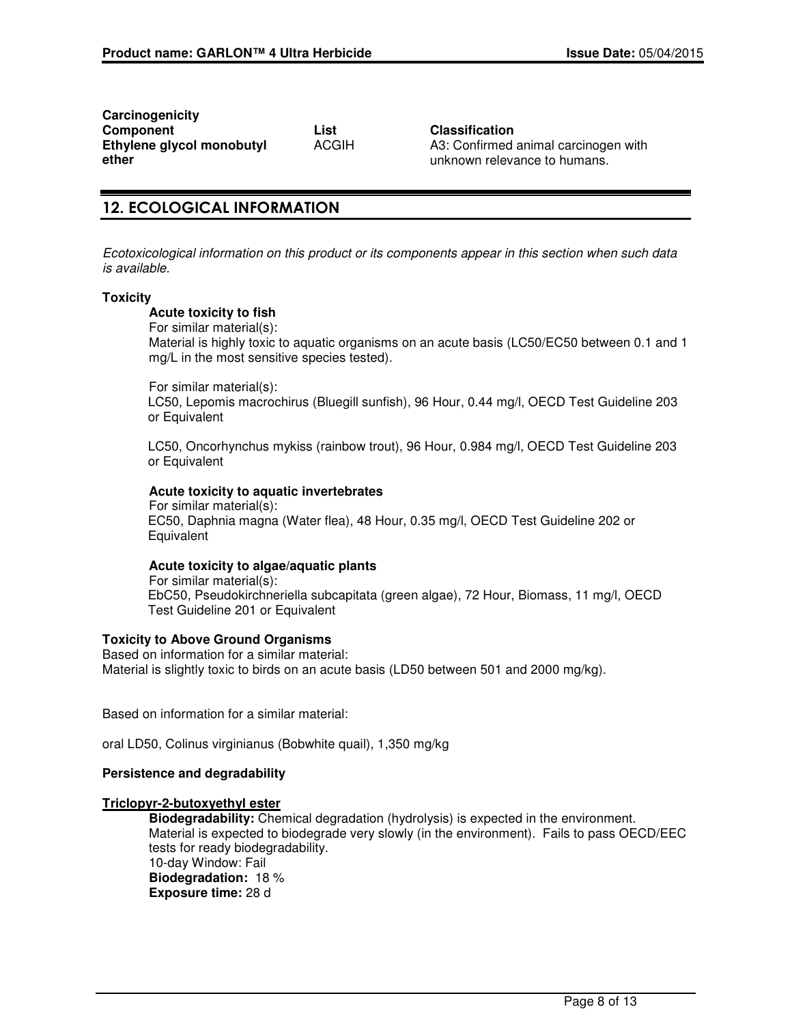**Carcinogenicity Component List Classification Ethylene glycol monobutyl ether**

ACGIH A3: Confirmed animal carcinogen with unknown relevance to humans.

## 12. ECOLOGICAL INFORMATION

Ecotoxicological information on this product or its components appear in this section when such data is available.

#### **Toxicity**

#### **Acute toxicity to fish**

For similar material(s):

Material is highly toxic to aquatic organisms on an acute basis (LC50/EC50 between 0.1 and 1 mg/L in the most sensitive species tested).

For similar material(s):

LC50, Lepomis macrochirus (Bluegill sunfish), 96 Hour, 0.44 mg/l, OECD Test Guideline 203 or Equivalent

LC50, Oncorhynchus mykiss (rainbow trout), 96 Hour, 0.984 mg/l, OECD Test Guideline 203 or Equivalent

### **Acute toxicity to aquatic invertebrates**

For similar material(s): EC50, Daphnia magna (Water flea), 48 Hour, 0.35 mg/l, OECD Test Guideline 202 or **Equivalent** 

#### **Acute toxicity to algae/aquatic plants**

For similar material(s): EbC50, Pseudokirchneriella subcapitata (green algae), 72 Hour, Biomass, 11 mg/l, OECD Test Guideline 201 or Equivalent

#### **Toxicity to Above Ground Organisms**

Based on information for a similar material: Material is slightly toxic to birds on an acute basis (LD50 between 501 and 2000 mg/kg).

Based on information for a similar material:

oral LD50, Colinus virginianus (Bobwhite quail), 1,350 mg/kg

#### **Persistence and degradability**

### **Triclopyr-2-butoxyethyl ester**

**Biodegradability:** Chemical degradation (hydrolysis) is expected in the environment. Material is expected to biodegrade very slowly (in the environment). Fails to pass OECD/EEC tests for ready biodegradability. 10-day Window: Fail **Biodegradation:** 18 % **Exposure time:** 28 d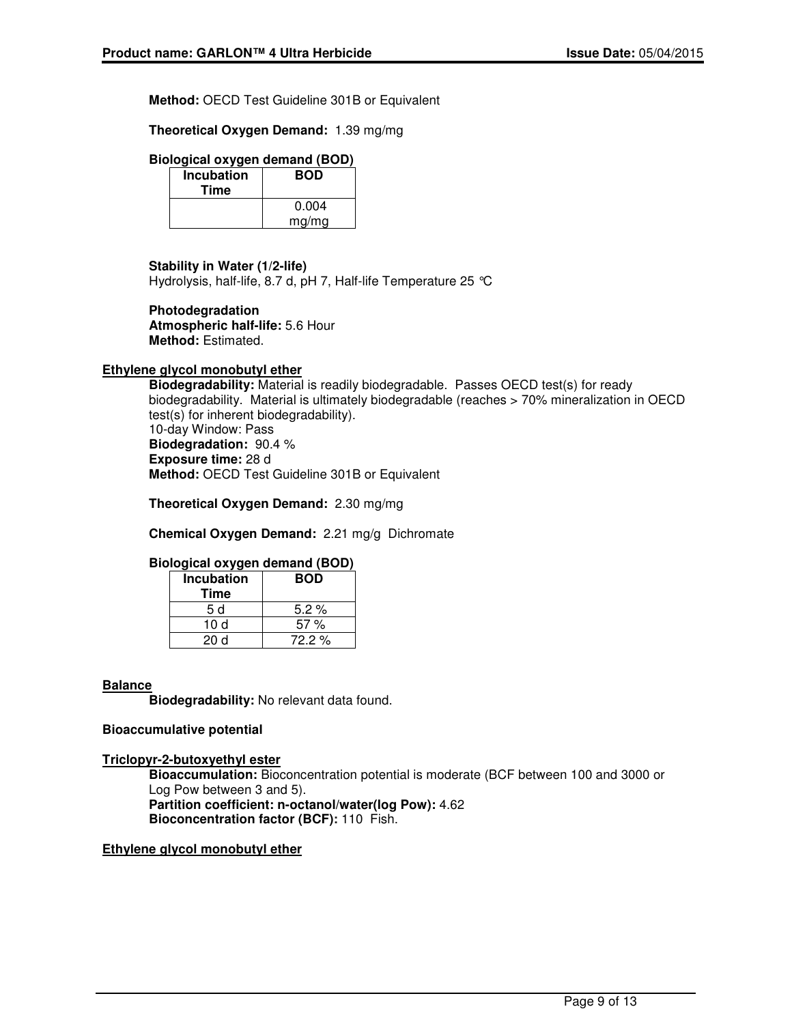**Method:** OECD Test Guideline 301B or Equivalent

**Theoretical Oxygen Demand:** 1.39 mg/mg

### **Biological oxygen demand (BOD)**

| <b>Incubation</b><br>Time | <b>BOD</b> |
|---------------------------|------------|
|                           | 0.004      |
|                           | mg/mg      |

#### **Stability in Water (1/2-life)**

Hydrolysis, half-life, 8.7 d, pH 7, Half-life Temperature 25 °C

#### **Photodegradation**

**Atmospheric half-life:** 5.6 Hour **Method:** Estimated.

## **Ethylene glycol monobutyl ether**

**Biodegradability:** Material is readily biodegradable. Passes OECD test(s) for ready biodegradability. Material is ultimately biodegradable (reaches > 70% mineralization in OECD test(s) for inherent biodegradability). 10-day Window: Pass **Biodegradation:** 90.4 % **Exposure time:** 28 d

**Method:** OECD Test Guideline 301B or Equivalent

**Theoretical Oxygen Demand:** 2.30 mg/mg

**Chemical Oxygen Demand:** 2.21 mg/g Dichromate

### **Biological oxygen demand (BOD)**

| <b>Incubation</b> | <b>BOD</b> |
|-------------------|------------|
| Time              |            |
| 5 d               | 5.2%       |
| 10 d              | 57%        |
| 20d               | 72.2%      |

#### **Balance**

**Biodegradability:** No relevant data found.

#### **Bioaccumulative potential**

#### **Triclopyr-2-butoxyethyl ester**

**Bioaccumulation:** Bioconcentration potential is moderate (BCF between 100 and 3000 or Log Pow between 3 and 5). **Partition coefficient: n-octanol/water(log Pow):** 4.62 **Bioconcentration factor (BCF):** 110 Fish.

#### **Ethylene glycol monobutyl ether**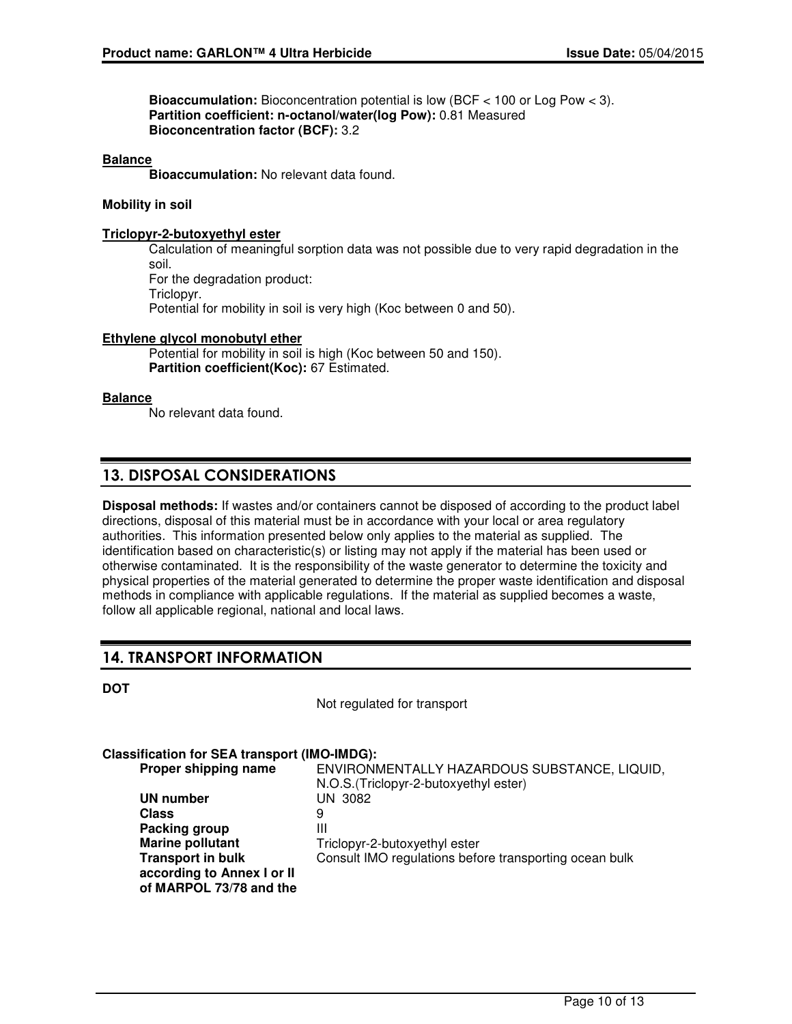**Bioaccumulation:** Bioconcentration potential is low (BCF < 100 or Log Pow < 3). **Partition coefficient: n-octanol/water(log Pow):** 0.81 Measured **Bioconcentration factor (BCF):** 3.2

#### **Balance**

**Bioaccumulation:** No relevant data found.

#### **Mobility in soil**

#### **Triclopyr-2-butoxyethyl ester**

Calculation of meaningful sorption data was not possible due to very rapid degradation in the soil. For the degradation product: Triclopyr. Potential for mobility in soil is very high (Koc between 0 and 50).

#### **Ethylene glycol monobutyl ether**

Potential for mobility in soil is high (Koc between 50 and 150). **Partition coefficient(Koc):** 67 Estimated.

#### **Balance**

No relevant data found.

## 13. DISPOSAL CONSIDERATIONS

**Disposal methods:** If wastes and/or containers cannot be disposed of according to the product label directions, disposal of this material must be in accordance with your local or area regulatory authorities. This information presented below only applies to the material as supplied. The identification based on characteristic(s) or listing may not apply if the material has been used or otherwise contaminated. It is the responsibility of the waste generator to determine the toxicity and physical properties of the material generated to determine the proper waste identification and disposal methods in compliance with applicable regulations. If the material as supplied becomes a waste, follow all applicable regional, national and local laws.

## 14. TRANSPORT INFORMATION

| a.<br>۰.<br>I<br>۰. |  |
|---------------------|--|
|---------------------|--|

Not regulated for transport

#### **Classification for SEA transport (IMO-IMDG):**

| Proper shipping name       | ENVIRONMENTALLY HAZARDOUS SUBSTANCE, LIQUID,           |
|----------------------------|--------------------------------------------------------|
|                            | N.O.S. (Triclopyr-2-butoxyethyl ester)                 |
| UN number                  | UN 3082                                                |
| <b>Class</b>               | 9                                                      |
| Packing group              | Ш                                                      |
| <b>Marine pollutant</b>    | Triclopyr-2-butoxyethyl ester                          |
| <b>Transport in bulk</b>   | Consult IMO regulations before transporting ocean bulk |
| according to Annex I or II |                                                        |
| of MARPOL 73/78 and the    |                                                        |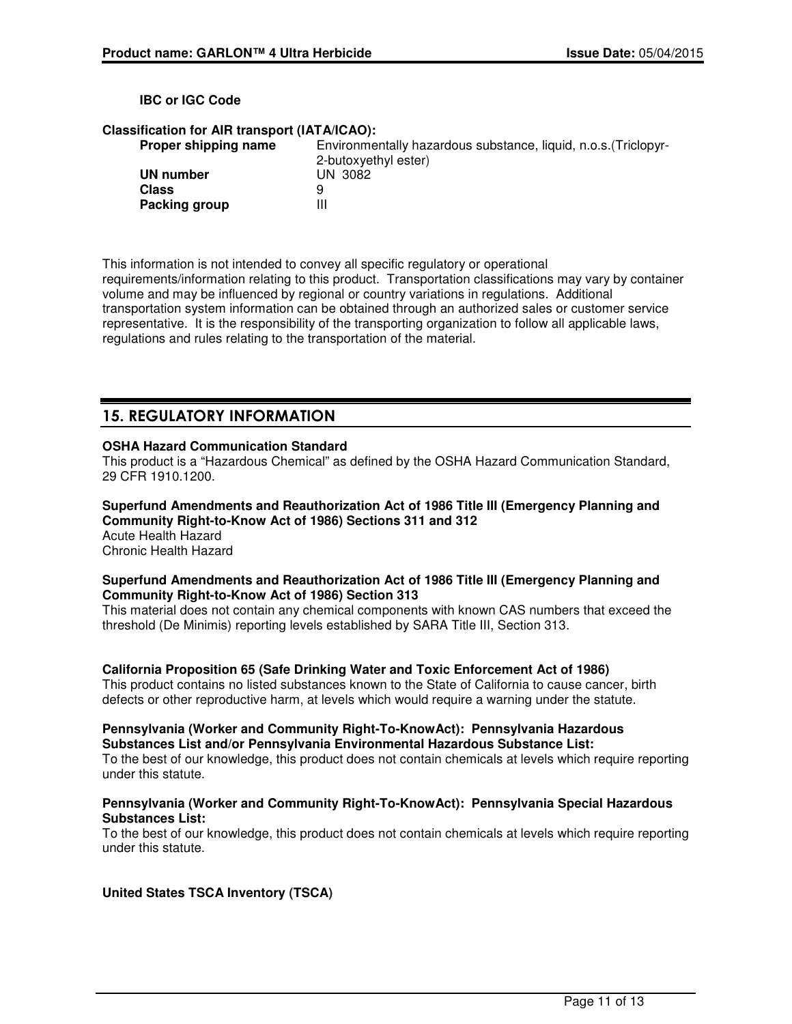#### **IBC or IGC Code**

#### **Classification for AIR transport (IATA/ICAO):**

| Proper shipping name | Environmentally hazardous substance, liquid, n.o.s. (Triclopyr- |
|----------------------|-----------------------------------------------------------------|
|                      | 2-butoxyethyl ester)                                            |
| UN number            | UN 3082                                                         |
| Class                | 9                                                               |
| Packing group        | Ш                                                               |

This information is not intended to convey all specific regulatory or operational requirements/information relating to this product. Transportation classifications may vary by container volume and may be influenced by regional or country variations in regulations. Additional transportation system information can be obtained through an authorized sales or customer service representative. It is the responsibility of the transporting organization to follow all applicable laws, regulations and rules relating to the transportation of the material.

## 15. REGULATORY INFORMATION

### **OSHA Hazard Communication Standard**

This product is a "Hazardous Chemical" as defined by the OSHA Hazard Communication Standard, 29 CFR 1910.1200.

**Superfund Amendments and Reauthorization Act of 1986 Title III (Emergency Planning and Community Right-to-Know Act of 1986) Sections 311 and 312** Acute Health Hazard Chronic Health Hazard

#### **Superfund Amendments and Reauthorization Act of 1986 Title III (Emergency Planning and Community Right-to-Know Act of 1986) Section 313**

This material does not contain any chemical components with known CAS numbers that exceed the threshold (De Minimis) reporting levels established by SARA Title III, Section 313.

#### **California Proposition 65 (Safe Drinking Water and Toxic Enforcement Act of 1986)**

This product contains no listed substances known to the State of California to cause cancer, birth defects or other reproductive harm, at levels which would require a warning under the statute.

## **Pennsylvania (Worker and Community Right-To-KnowAct): Pennsylvania Hazardous Substances List and/or Pennsylvania Environmental Hazardous Substance List:**

To the best of our knowledge, this product does not contain chemicals at levels which require reporting under this statute.

#### **Pennsylvania (Worker and Community Right-To-KnowAct): Pennsylvania Special Hazardous Substances List:**

To the best of our knowledge, this product does not contain chemicals at levels which require reporting under this statute.

### **United States TSCA Inventory (TSCA)**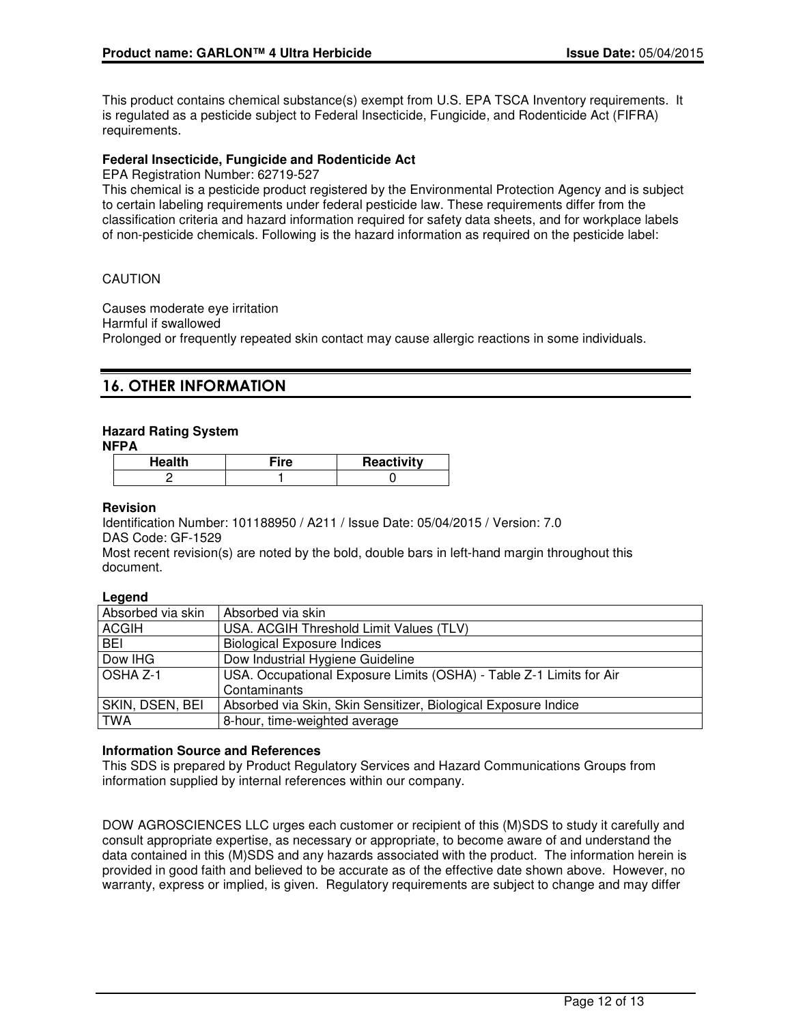This product contains chemical substance(s) exempt from U.S. EPA TSCA Inventory requirements. It is regulated as a pesticide subject to Federal Insecticide, Fungicide, and Rodenticide Act (FIFRA) requirements.

### **Federal Insecticide, Fungicide and Rodenticide Act**

EPA Registration Number: 62719-527

This chemical is a pesticide product registered by the Environmental Protection Agency and is subject to certain labeling requirements under federal pesticide law. These requirements differ from the classification criteria and hazard information required for safety data sheets, and for workplace labels of non-pesticide chemicals. Following is the hazard information as required on the pesticide label:

### CAUTION

Causes moderate eye irritation Harmful if swallowed Prolonged or frequently repeated skin contact may cause allergic reactions in some individuals.

## 16. OTHER INFORMATION

### **Hazard Rating System**

**NFPA**

| Health | ™ire | Reactivity |
|--------|------|------------|
|        |      |            |

#### **Revision**

Identification Number: 101188950 / A211 / Issue Date: 05/04/2015 / Version: 7.0 DAS Code: GF-1529

Most recent revision(s) are noted by the bold, double bars in left-hand margin throughout this document.

#### **Legend**

| Absorbed via skin | Absorbed via skin                                                   |
|-------------------|---------------------------------------------------------------------|
| <b>ACGIH</b>      | USA. ACGIH Threshold Limit Values (TLV)                             |
| <b>BEI</b>        | <b>Biological Exposure Indices</b>                                  |
| Dow IHG           | Dow Industrial Hygiene Guideline                                    |
| OSHA Z-1          | USA. Occupational Exposure Limits (OSHA) - Table Z-1 Limits for Air |
|                   | Contaminants                                                        |
| SKIN, DSEN, BEI   | Absorbed via Skin, Skin Sensitizer, Biological Exposure Indice      |
| <b>TWA</b>        | 8-hour, time-weighted average                                       |

#### **Information Source and References**

This SDS is prepared by Product Regulatory Services and Hazard Communications Groups from information supplied by internal references within our company.

DOW AGROSCIENCES LLC urges each customer or recipient of this (M)SDS to study it carefully and consult appropriate expertise, as necessary or appropriate, to become aware of and understand the data contained in this (M)SDS and any hazards associated with the product. The information herein is provided in good faith and believed to be accurate as of the effective date shown above. However, no warranty, express or implied, is given. Regulatory requirements are subject to change and may differ